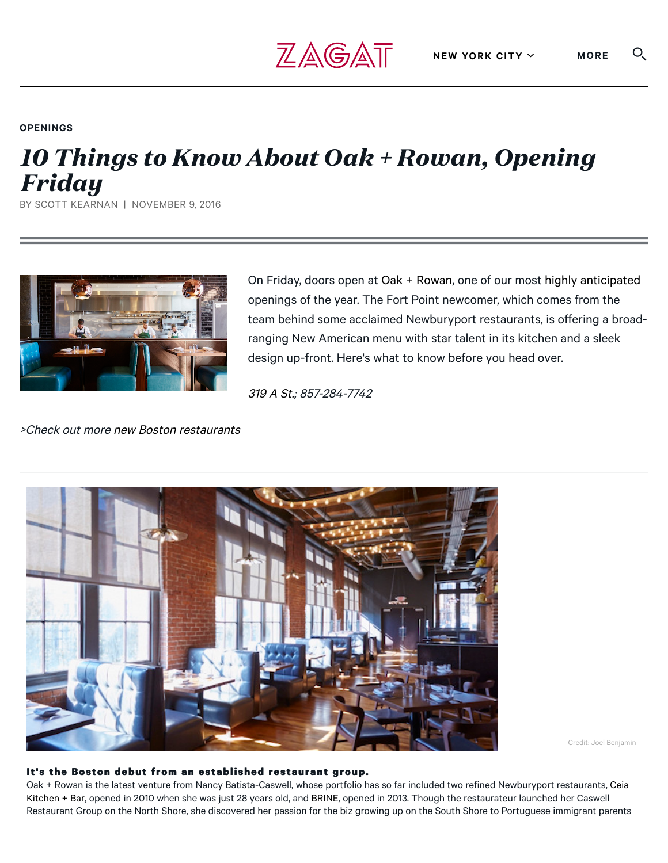### **OPENINGS**

# *10 Things to Know About Oak + Rowan, Opening Friday*

 $Z$ AGAT

BY SCOTT KEARNAN | NOVEMBER 9, 2016



On Friday, doors open at [Oak + Rowan](http://oakandrowan.com/), one of our most [highly anticipated](https://www.zagat.com/b/boston/fall-restaurant-openings-boston) openings of the year. The Fort Point newcomer, which comes from the team behind some acclaimed Newburyport restaurants, is offering a broadranging New American menu with star talent in its kitchen and a sleek design up-front. Here's what to know before you head over.

[319 A St.;](https://www.google.com/maps/place/319+A+St,+Boston,+MA+02210/@42.348929,-71.0511826,17z/data=!3m1!4b1!4m5!3m4!1s0x89e37a806550422f:0x735f02dace72305!8m2!3d42.348929!4d-71.0489939) 857-284-7742

>Check out more [new Boston restaurants](https://www.zagat.com/l/boston/bostons-best-new-restaurants)



Credit: Joel Benjamin

#### It's the Boston debut from an established restaurant group.

[Oak + Rowan is the latest venture from Nancy Batista-Caswell, whose portfolio has so far included two refined Newburyport restaurants, Ceia](http://www.zagat.com/r/ceia-kitchen-bar-newburyport) Kitchen + Bar, opened in 2010 when she was just 28 years old, and [BRINE](http://www.zagat.com/r/brine-oyster-crudo-chops-newburyport), opened in 2013. Though the restaurateur launched her Caswell Restaurant Group on the North Shore, she discovered her passion for the biz growing up on the South Shore to Portuguese immigrant parents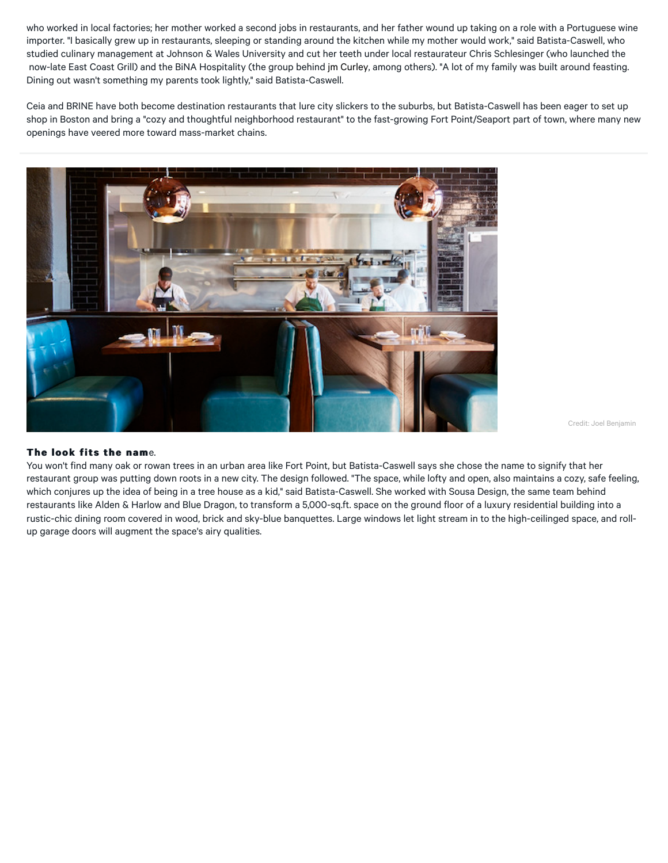who worked in local factories; her mother worked a second jobs in restaurants, and her father wound up taking on a role with a Portuguese wine importer. "I basically grew up in restaurants, sleeping or standing around the kitchen while my mother would work," said Batista-Caswell, who studied culinary management at Johnson & Wales University and cut her teeth under local restaurateur Chris Schlesinger (who launched the now-late East Coast Grill) and the BiNA Hospitality (the group behind [jm Curley,](http://www.zagat.com/r/jm-curley-boston) among others). "A lot of my family was built around feasting. Dining out wasn't something my parents took lightly," said Batista-Caswell.

Ceia and BRINE have both become destination restaurants that lure city slickers to the suburbs, but Batista-Caswell has been eager to set up shop in Boston and bring a "cozy and thoughtful neighborhood restaurant" to the fast-growing Fort Point/Seaport part of town, where many new openings have veered more toward mass-market chains.



Credit: Joel Benjamin

#### **The look fits the nam**e.

You won't find many oak or rowan trees in an urban area like Fort Point, but Batista-Caswell says she chose the name to signify that her restaurant group was putting down roots in a new city. The design followed. "The space, while lofty and open, also maintains a cozy, safe feeling, which conjures up the idea of being in a tree house as a kid," said Batista-Caswell. She worked with Sousa Design, the same team behind restaurants like Alden & Harlow and Blue Dragon, to transform a 5,000-sq.ft. space on the ground floor of a luxury residential building into a rustic-chic dining room covered in wood, brick and sky-blue banquettes. Large windows let light stream in to the high-ceilinged space, and rollup garage doors will augment the space's airy qualities.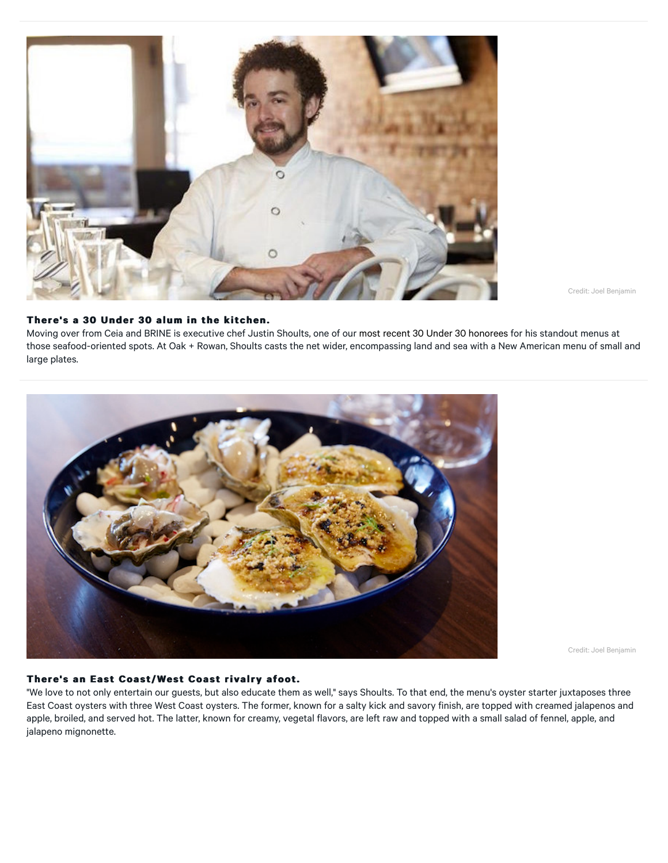

Credit: Joel Benjamin

#### There's a 30 Under 30 alum in the kitchen.

Moving over from Ceia and BRINE is executive chef Justin Shoults, one of our [most recent 30 Under 30 honorees](https://www.zagat.com/30under30/2015/boston) for his standout menus at those seafood-oriented spots. At Oak + Rowan, Shoults casts the net wider, encompassing land and sea with a New American menu of small and large plates.



Credit: Joel Benjamin

#### **There's an East Coast/West Coast rivalry afoot. There's an Coast/West rivalry afoot.**

"We love to not only entertain our guests, but also educate them as well," says Shoults. To that end, the menu's oyster starter juxtaposes three East Coast oysters with three West Coast oysters. The former, known for a salty kick and savory finish, are topped with creamed jalapenos and apple, broiled, and served hot. The latter, known for creamy, vegetal flavors, are left raw and topped with a small salad of fennel, apple, and jalapeno mignonette.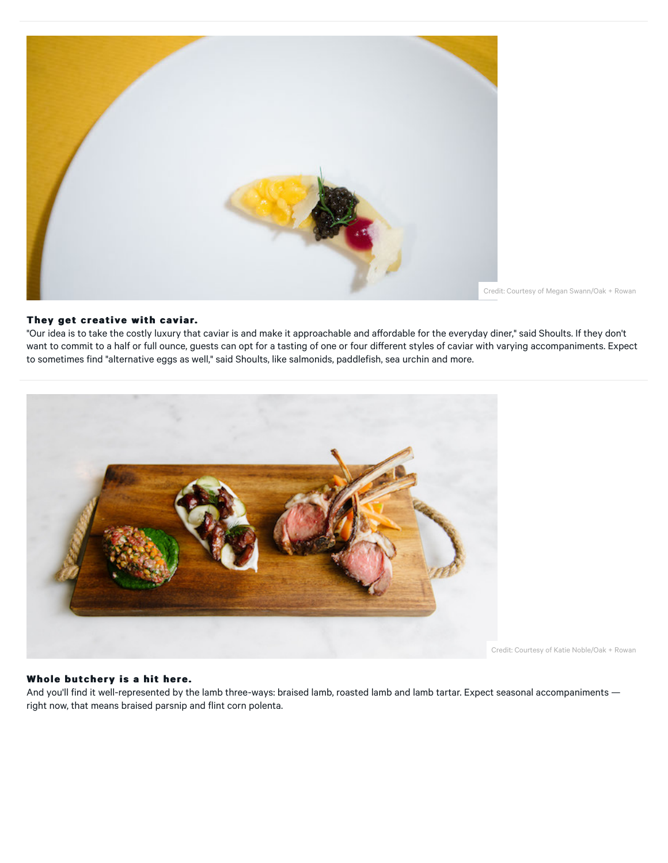

Credit: Courtesy of Megan Swann/Oak + Rowan

#### **They get creative with caviar. They get creative with**

"Our idea is to take the costly luxury that caviar is and make it approachable and affordable for the everyday diner," said Shoults. If they don't want to commit to a half or full ounce, guests can opt for a tasting of one or four different styles of caviar with varying accompaniments. Expect to sometimes find "alternative eggs as well," said Shoults, like salmonids, paddlefish, sea urchin and more.



Credit: Courtesy of Katie Noble/Oak + Rowan

#### Whole butchery is a hit here.

And you'll find it well-represented by the lamb three-ways: braised lamb, roasted lamb and lamb tartar. Expect seasonal accompaniments right now, that means braised parsnip and flint corn polenta.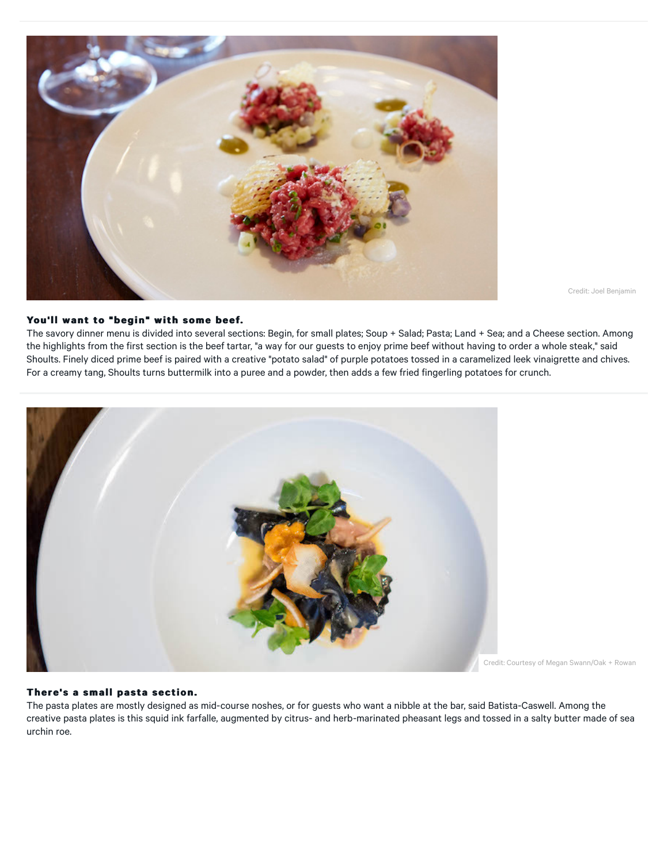

Credit: Joel Benjamin

#### **You'll want to "begin" with some beef. You'll want to "begin" with some beef.**

The savory dinner menu is divided into several sections: Begin, for small plates; Soup + Salad; Pasta; Land + Sea; and a Cheese section. Among the highlights from the first section is the beef tartar, "a way for our guests to enjoy prime beef without having to order a whole steak," said Shoults. Finely diced prime beef is paired with a creative "potato salad" of purple potatoes tossed in a caramelized leek vinaigrette and chives. For a creamy tang, Shoults turns buttermilk into a puree and a powder, then adds a few fried fingerling potatoes for crunch.



Credit: Courtesy of Megan Swann/Oak + Rowan

#### **There's a small pasta section. There's a small pasta section.**

The pasta plates are mostly designed as mid-course noshes, or for guests who want a nibble at the bar, said Batista-Caswell. Among the creative pasta plates is this squid ink farfalle, augmented by citrus- and herb-marinated pheasant legs and tossed in a salty butter made of sea urchin roe.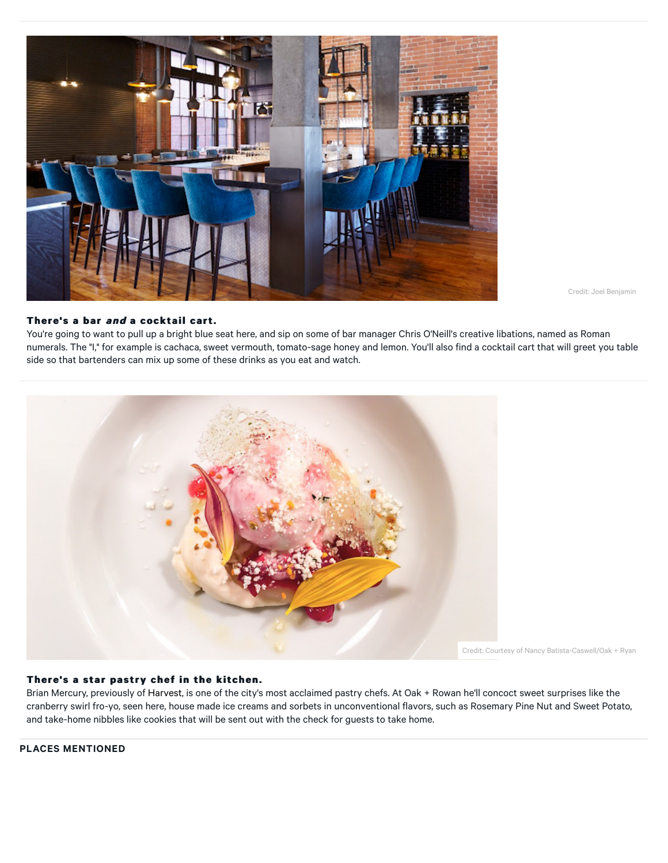

Credit: Joel Benjamin

#### **There's a bar and a cocktail cart.**

You're going to want to pull up a bright blue seat here, and sip on some of bar manager Chris O'Neill's creative libations, named as Roman numerals. The "I," for example is cachaca, sweet vermouth, tomato-sage honey and lemon. You'll also find a cocktail cart that will greet you table side so that bartenders can mix up some of these drinks as you eat and watch.



Credit: Courtesy of Nancy Batista-Caswell/Oak + Ryan

#### There's a star pastry chef in the kitchen.

Brian Mercury, previously of [Harvest,](http://www.zagat.com/r/harvest-restaurant-cambridge) is one of the city's most acclaimed pastry chefs. At Oak + Rowan he'll concoct sweet surprises like the cranberry swirl fro-yo, seen here, house made ice creams and sorbets in unconventional flavors, such as Rosemary Pine Nut and Sweet Potato, and take-home nibbles like cookies that will be sent out with the check for guests to take home.